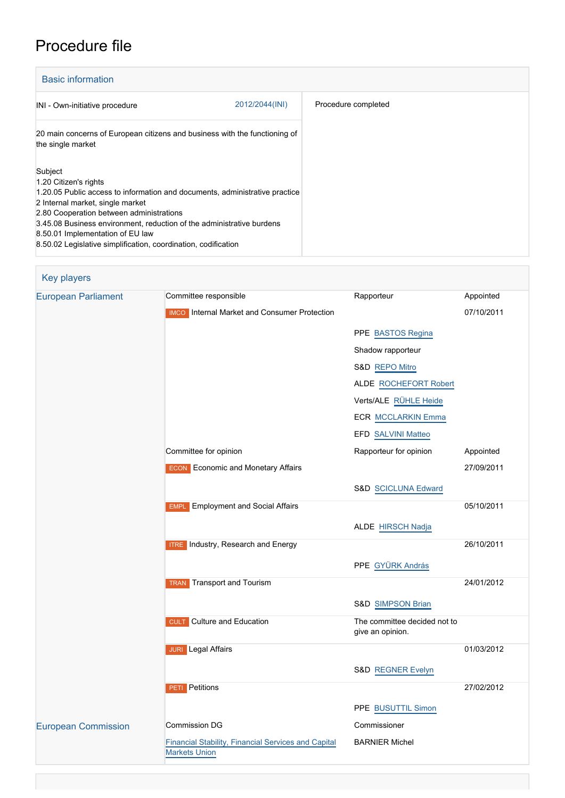# Procedure file

| <b>Basic information</b>                                                                                                                                                                                                                                                                                                                                                       |                |                     |
|--------------------------------------------------------------------------------------------------------------------------------------------------------------------------------------------------------------------------------------------------------------------------------------------------------------------------------------------------------------------------------|----------------|---------------------|
| INI - Own-initiative procedure                                                                                                                                                                                                                                                                                                                                                 | 2012/2044(INI) | Procedure completed |
| 20 main concerns of European citizens and business with the functioning of<br>the single market                                                                                                                                                                                                                                                                                |                |                     |
| Subject<br>1.20 Citizen's rights<br>1.20.05 Public access to information and documents, administrative practice<br>2 Internal market, single market<br>2.80 Cooperation between administrations<br>3.45.08 Business environment, reduction of the administrative burdens<br>8.50.01 Implementation of EU law<br>8.50.02 Legislative simplification, coordination, codification |                |                     |

| <b>Key players</b>         |                                                                             |                                                  |            |
|----------------------------|-----------------------------------------------------------------------------|--------------------------------------------------|------------|
| <b>European Parliament</b> | Committee responsible                                                       | Rapporteur                                       | Appointed  |
|                            | <b>IMCO</b> Internal Market and Consumer Protection                         |                                                  | 07/10/2011 |
|                            |                                                                             | PPE BASTOS Regina                                |            |
|                            |                                                                             | Shadow rapporteur                                |            |
|                            |                                                                             | S&D REPO Mitro                                   |            |
|                            |                                                                             | <b>ALDE ROCHEFORT Robert</b>                     |            |
|                            |                                                                             | Verts/ALE RÜHLE Heide                            |            |
|                            |                                                                             | <b>ECR MCCLARKIN Emma</b>                        |            |
|                            |                                                                             | <b>EFD SALVINI Matteo</b>                        |            |
|                            | Committee for opinion                                                       | Rapporteur for opinion                           | Appointed  |
|                            | <b>ECON</b> Economic and Monetary Affairs                                   |                                                  | 27/09/2011 |
|                            |                                                                             | S&D SCICLUNA Edward                              |            |
|                            | <b>Employment and Social Affairs</b><br><b>EMPL</b>                         |                                                  | 05/10/2011 |
|                            |                                                                             | <b>ALDE HIRSCH Nadja</b>                         |            |
|                            | <b>ITRE</b> Industry, Research and Energy                                   |                                                  | 26/10/2011 |
|                            |                                                                             | PPE GYÜRK András                                 |            |
|                            | Transport and Tourism<br><b>TRAN</b>                                        |                                                  | 24/01/2012 |
|                            |                                                                             | S&D SIMPSON Brian                                |            |
|                            | Culture and Education<br><b>CULT</b>                                        | The committee decided not to<br>give an opinion. |            |
|                            | <b>JURI</b> Legal Affairs                                                   |                                                  | 01/03/2012 |
|                            |                                                                             | S&D REGNER Evelyn                                |            |
|                            | <b>PETI</b> Petitions                                                       |                                                  | 27/02/2012 |
|                            |                                                                             | PPE BUSUTTIL Simon                               |            |
| <b>European Commission</b> | Commission DG                                                               | Commissioner                                     |            |
|                            | Financial Stability, Financial Services and Capital<br><b>Markets Union</b> | <b>BARNIER Michel</b>                            |            |
|                            |                                                                             |                                                  |            |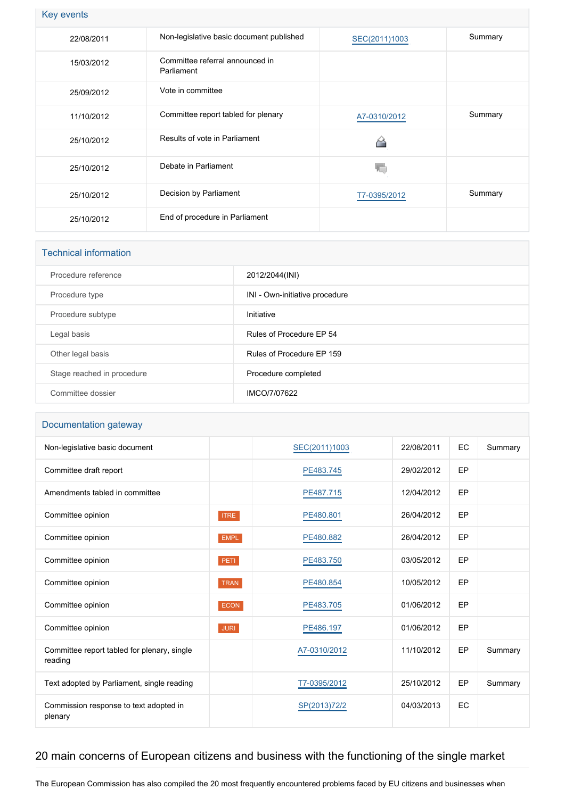|  |  | <b>Key events</b> |  |
|--|--|-------------------|--|
|--|--|-------------------|--|

| 22/08/2011 | Non-legislative basic document published      | SEC(2011)1003 | Summary |
|------------|-----------------------------------------------|---------------|---------|
| 15/03/2012 | Committee referral announced in<br>Parliament |               |         |
| 25/09/2012 | Vote in committee                             |               |         |
| 11/10/2012 | Committee report tabled for plenary           | A7-0310/2012  | Summary |
| 25/10/2012 | Results of vote in Parliament                 | ≏             |         |
| 25/10/2012 | Debate in Parliament                          |               |         |
| 25/10/2012 | Decision by Parliament                        | T7-0395/2012  | Summary |
| 25/10/2012 | End of procedure in Parliament                |               |         |

| <b>Technical information</b> |                                |  |  |
|------------------------------|--------------------------------|--|--|
| Procedure reference          | 2012/2044(INI)                 |  |  |
| Procedure type               | INI - Own-initiative procedure |  |  |
| Procedure subtype            | Initiative                     |  |  |
| Legal basis                  | Rules of Procedure EP 54       |  |  |
| Other legal basis            | Rules of Procedure EP 159      |  |  |
| Stage reached in procedure   | Procedure completed            |  |  |
| Committee dossier            | IMCO/7/07622                   |  |  |

## Documentation gateway

| Non-legislative basic document                         |             | SEC(2011)1003 | 22/08/2011 | EC | Summary |
|--------------------------------------------------------|-------------|---------------|------------|----|---------|
| Committee draft report                                 |             | PE483.745     | 29/02/2012 | EP |         |
| Amendments tabled in committee                         |             | PE487.715     | 12/04/2012 | EP |         |
| Committee opinion                                      | <b>ITRE</b> | PE480.801     | 26/04/2012 | EP |         |
| Committee opinion                                      | <b>EMPL</b> | PE480.882     | 26/04/2012 | EP |         |
| Committee opinion                                      | PETI.       | PE483.750     | 03/05/2012 | EP |         |
| Committee opinion                                      | <b>TRAN</b> | PE480.854     | 10/05/2012 | EP |         |
| Committee opinion                                      | <b>ECON</b> | PE483.705     | 01/06/2012 | EP |         |
| Committee opinion                                      | <b>JURI</b> | PE486.197     | 01/06/2012 | EP |         |
| Committee report tabled for plenary, single<br>reading |             | A7-0310/2012  | 11/10/2012 | EP | Summary |
| Text adopted by Parliament, single reading             |             | T7-0395/2012  | 25/10/2012 | EP | Summary |
| Commission response to text adopted in<br>plenary      |             | SP(2013)72/2  | 04/03/2013 | EC |         |

## 20 main concerns of European citizens and business with the functioning of the single market

The European Commission has also compiled the 20 most frequently encountered problems faced by EU citizens and businesses when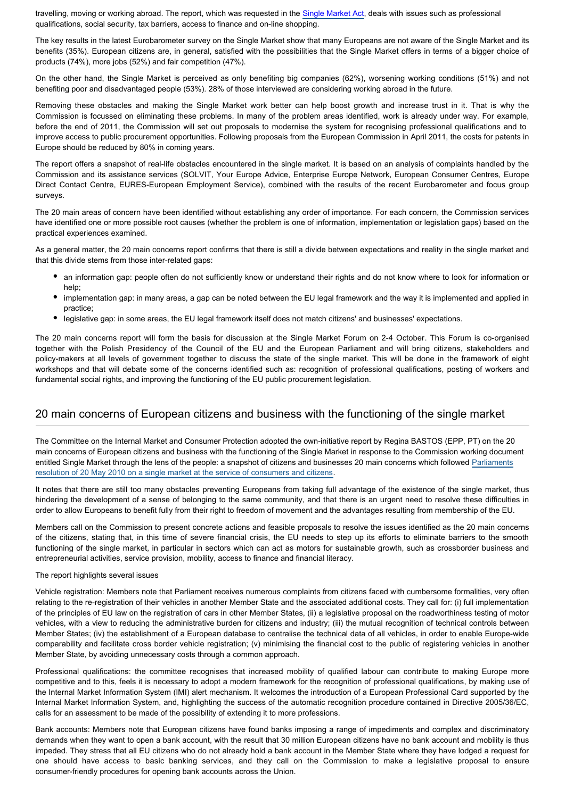travelling, moving or working abroad. The report, which was requested in the [Single Market Act,](http://www.eur-lex.europa.eu/LexUriServ/LexUriServ.do?uri=COM:2011:0206:FIN:EN:PDF) deals with issues such as professional qualifications, social security, tax barriers, access to finance and on-line shopping.

The key results in the latest Eurobarometer survey on the Single Market show that many Europeans are not aware of the Single Market and its benefits (35%). European citizens are, in general, satisfied with the possibilities that the Single Market offers in terms of a bigger choice of products (74%), more jobs (52%) and fair competition (47%).

On the other hand, the Single Market is perceived as only benefiting big companies (62%), worsening working conditions (51%) and not benefiting poor and disadvantaged people (53%). 28% of those interviewed are considering working abroad in the future.

Removing these obstacles and making the Single Market work better can help boost growth and increase trust in it. That is why the Commission is focussed on eliminating these problems. In many of the problem areas identified, work is already under way. For example, before the end of 2011, the Commission will set out proposals to modernise the system for recognising professional qualifications and to improve access to public procurement opportunities. Following proposals from the European Commission in April 2011, the costs for patents in Europe should be reduced by 80% in coming years.

The report offers a snapshot of real-life obstacles encountered in the single market. It is based on an analysis of complaints handled by the Commission and its assistance services (SOLVIT, Your Europe Advice, Enterprise Europe Network, European Consumer Centres, Europe Direct Contact Centre, EURES-European Employment Service), combined with the results of the recent Eurobarometer and focus group surveys.

The 20 main areas of concern have been identified without establishing any order of importance. For each concern, the Commission services have identified one or more possible root causes (whether the problem is one of information, implementation or legislation gaps) based on the practical experiences examined.

As a general matter, the 20 main concerns report confirms that there is still a divide between expectations and reality in the single market and that this divide stems from those inter-related gaps:

- an information gap: people often do not sufficiently know or understand their rights and do not know where to look for information or help:
- implementation gap: in many areas, a gap can be noted between the EU legal framework and the way it is implemented and applied in practice;
- legislative gap: in some areas, the EU legal framework itself does not match citizens' and businesses' expectations.

The 20 main concerns report will form the basis for discussion at the Single Market Forum on 2-4 October. This Forum is co-organised together with the Polish Presidency of the Council of the EU and the European Parliament and will bring citizens, stakeholders and policy-makers at all levels of government together to discuss the state of the single market. This will be done in the framework of eight workshops and that will debate some of the concerns identified such as: recognition of professional qualifications, posting of workers and fundamental social rights, and improving the functioning of the EU public procurement legislation.

### 20 main concerns of European citizens and business with the functioning of the single market

The Committee on the Internal Market and Consumer Protection adopted the own-initiative report by Regina BASTOS (EPP, PT) on the 20 main concerns of European citizens and business with the functioning of the Single Market in response to the Commission working document entitled Single Market through the lens of the people: a snapshot of citizens and businesses 20 main concerns which followed [Parliaments](http://www.europarl.europa.eu/oeil/popups/ficheprocedure.do?lang=EN&procnum=INI/2010/2011) [resolution of 20 May 2010 on a single market at the service of consumers and citizens](http://www.europarl.europa.eu/oeil/popups/ficheprocedure.do?lang=EN&procnum=INI/2010/2011).

It notes that there are still too many obstacles preventing Europeans from taking full advantage of the existence of the single market, thus hindering the development of a sense of belonging to the same community, and that there is an urgent need to resolve these difficulties in order to allow Europeans to benefit fully from their right to freedom of movement and the advantages resulting from membership of the EU.

Members call on the Commission to present concrete actions and feasible proposals to resolve the issues identified as the 20 main concerns of the citizens, stating that, in this time of severe financial crisis, the EU needs to step up its efforts to eliminate barriers to the smooth functioning of the single market, in particular in sectors which can act as motors for sustainable growth, such as crossborder business and entrepreneurial activities, service provision, mobility, access to finance and financial literacy.

#### The report highlights several issues

Vehicle registration: Members note that Parliament receives numerous complaints from citizens faced with cumbersome formalities, very often relating to the re-registration of their vehicles in another Member State and the associated additional costs. They call for: (i) full implementation of the principles of EU law on the registration of cars in other Member States, (ii) a legislative proposal on the roadworthiness testing of motor vehicles, with a view to reducing the administrative burden for citizens and industry; (iii) the mutual recognition of technical controls between Member States; (iv) the establishment of a European database to centralise the technical data of all vehicles, in order to enable Europe-wide comparability and facilitate cross border vehicle registration; (v) minimising the financial cost to the public of registering vehicles in another Member State, by avoiding unnecessary costs through a common approach.

Professional qualifications: the committee recognises that increased mobility of qualified labour can contribute to making Europe more competitive and to this, feels it is necessary to adopt a modern framework for the recognition of professional qualifications, by making use of the Internal Market Information System (IMI) alert mechanism. It welcomes the introduction of a European Professional Card supported by the Internal Market Information System, and, highlighting the success of the automatic recognition procedure contained in Directive 2005/36/EC, calls for an assessment to be made of the possibility of extending it to more professions.

Bank accounts: Members note that European citizens have found banks imposing a range of impediments and complex and discriminatory demands when they want to open a bank account, with the result that 30 million European citizens have no bank account and mobility is thus impeded. They stress that all EU citizens who do not already hold a bank account in the Member State where they have lodged a request for one should have access to basic banking services, and they call on the Commission to make a legislative proposal to ensure consumer-friendly procedures for opening bank accounts across the Union.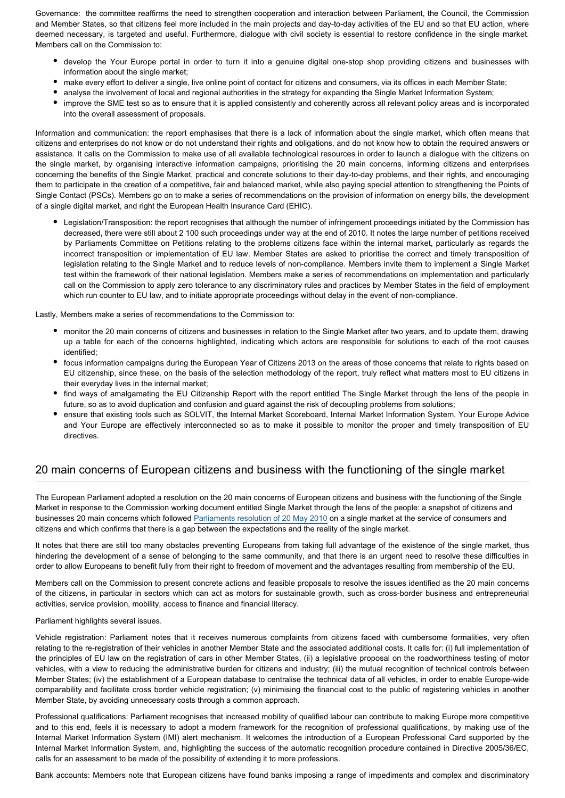Governance: the committee reaffirms the need to strengthen cooperation and interaction between Parliament, the Council, the Commission and Member States, so that citizens feel more included in the main projects and day-to-day activities of the EU and so that EU action, where deemed necessary, is targeted and useful. Furthermore, dialogue with civil society is essential to restore confidence in the single market. Members call on the Commission to:

- develop the Your Europe portal in order to turn it into a genuine digital one-stop shop providing citizens and businesses with information about the single market;
- make every effort to deliver a single, live online point of contact for citizens and consumers, via its offices in each Member State;
	- analyse the involvement of local and regional authorities in the strategy for expanding the Single Market Information System;
- improve the SME test so as to ensure that it is applied consistently and coherently across all relevant policy areas and is incorporated into the overall assessment of proposals.

Information and communication: the report emphasises that there is a lack of information about the single market, which often means that citizens and enterprises do not know or do not understand their rights and obligations, and do not know how to obtain the required answers or assistance. It calls on the Commission to make use of all available technological resources in order to launch a dialogue with the citizens on the single market, by organising interactive information campaigns, prioritising the 20 main concerns, informing citizens and enterprises concerning the benefits of the Single Market, practical and concrete solutions to their day-to-day problems, and their rights, and encouraging them to participate in the creation of a competitive, fair and balanced market, while also paying special attention to strengthening the Points of Single Contact (PSCs). Members go on to make a series of recommendations on the provision of information on energy bills, the development of a single digital market, and right the European Health Insurance Card (EHIC).

Legislation/Transposition: the report recognises that although the number of infringement proceedings initiated by the Commission has decreased, there were still about 2 100 such proceedings under way at the end of 2010. It notes the large number of petitions received by Parliaments Committee on Petitions relating to the problems citizens face within the internal market, particularly as regards the incorrect transposition or implementation of EU law. Member States are asked to prioritise the correct and timely transposition of legislation relating to the Single Market and to reduce levels of non-compliance. Members invite them to implement a Single Market test within the framework of their national legislation. Members make a series of recommendations on implementation and particularly call on the Commission to apply zero tolerance to any discriminatory rules and practices by Member States in the field of employment which run counter to EU law, and to initiate appropriate proceedings without delay in the event of non-compliance.

Lastly, Members make a series of recommendations to the Commission to:

- monitor the 20 main concerns of citizens and businesses in relation to the Single Market after two years, and to update them, drawing up a table for each of the concerns highlighted, indicating which actors are responsible for solutions to each of the root causes identified;
- focus information campaigns during the European Year of Citizens 2013 on the areas of those concerns that relate to rights based on EU citizenship, since these, on the basis of the selection methodology of the report, truly reflect what matters most to EU citizens in their everyday lives in the internal market;
- find ways of amalgamating the EU Citizenship Report with the report entitled The Single Market through the lens of the people in future, so as to avoid duplication and confusion and guard against the risk of decoupling problems from solutions;
- ensure that existing tools such as SOLVIT, the Internal Market Scoreboard, Internal Market Information System, Your Europe Advice and Your Europe are effectively interconnected so as to make it possible to monitor the proper and timely transposition of EU directives.

### 20 main concerns of European citizens and business with the functioning of the single market

The European Parliament adopted a resolution on the 20 main concerns of European citizens and business with the functioning of the Single Market in response to the Commission working document entitled Single Market through the lens of the people: a snapshot of citizens and businesses 20 main concerns which followed [Parliaments resolution of 20 May 2010](http://www.europarl.europa.eu/oeil/popups/ficheprocedure.do?lang=EN&procnum=INI/2010/2011) on a single market at the service of consumers and citizens and which confirms that there is a gap between the expectations and the reality of the single market.

It notes that there are still too many obstacles preventing Europeans from taking full advantage of the existence of the single market, thus hindering the development of a sense of belonging to the same community, and that there is an urgent need to resolve these difficulties in order to allow Europeans to benefit fully from their right to freedom of movement and the advantages resulting from membership of the EU.

Members call on the Commission to present concrete actions and feasible proposals to resolve the issues identified as the 20 main concerns of the citizens, in particular in sectors which can act as motors for sustainable growth, such as cross-border business and entrepreneurial activities, service provision, mobility, access to finance and financial literacy.

#### Parliament highlights several issues.

Vehicle registration: Parliament notes that it receives numerous complaints from citizens faced with cumbersome formalities, very often relating to the re-registration of their vehicles in another Member State and the associated additional costs. It calls for: (i) full implementation of the principles of EU law on the registration of cars in other Member States, (ii) a legislative proposal on the roadworthiness testing of motor vehicles, with a view to reducing the administrative burden for citizens and industry; (iii) the mutual recognition of technical controls between Member States; (iv) the establishment of a European database to centralise the technical data of all vehicles, in order to enable Europe-wide comparability and facilitate cross border vehicle registration; (v) minimising the financial cost to the public of registering vehicles in another Member State, by avoiding unnecessary costs through a common approach.

Professional qualifications: Parliament recognises that increased mobility of qualified labour can contribute to making Europe more competitive and to this end, feels it is necessary to adopt a modern framework for the recognition of professional qualifications, by making use of the Internal Market Information System (IMI) alert mechanism. It welcomes the introduction of a European Professional Card supported by the Internal Market Information System, and, highlighting the success of the automatic recognition procedure contained in Directive 2005/36/EC, calls for an assessment to be made of the possibility of extending it to more professions.

Bank accounts: Members note that European citizens have found banks imposing a range of impediments and complex and discriminatory